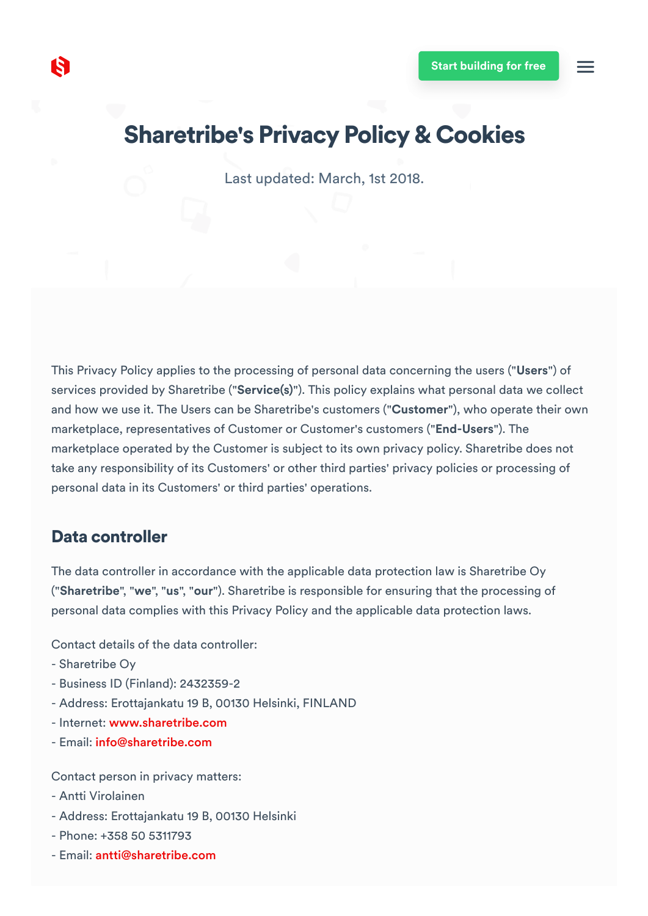# Sharetribe's Privacy Policy & Cookies

Last updated: March, 1st 2018.

This Privacy Policy applies to the processing of personal data concerning the users ("Users") of services provided by Sharetribe ("Service(s)"). This policy explains what personal data we collect and how we use it. The Users can be Sharetribe's customers ("Customer"), who operate their own marketplace, representatives of Customer or Customer's customers ("End-Users"). The marketplace operated by the Customer is subject to its own privacy policy. Sharetribe does not take any responsibility of its Customers' or other third parties' privacy policies or processing of personal data in its Customers' or third parties' operations.

### Data controller

The data controller in accordance with the applicable data protection law is Sharetribe Oy ("Sharetribe", "we", "us", "our"). Sharetribe is responsible for ensuring that the processing of personal data complies with this Privacy Policy and the applicable data protection laws.

Contact details of the data controller:

- Sharetribe Oy
- Business ID (Finland): 2432359-2
- Address: Erottajankatu 19 B, 00130 Helsinki, FINLAND
- Internet: [www.sharetribe.com](https://www.sharetribe.com/)
- Email: [info@sharetribe.com](mailto:info@sharetribe.com)

Contact person in privacy matters:

- Antti Virolainen
- Address: Erottajankatu 19 B, 00130 Helsinki
- Phone: +358 50 5311793
- Email: [antti@sharetribe.com](mailto:antti@sharetribe.com)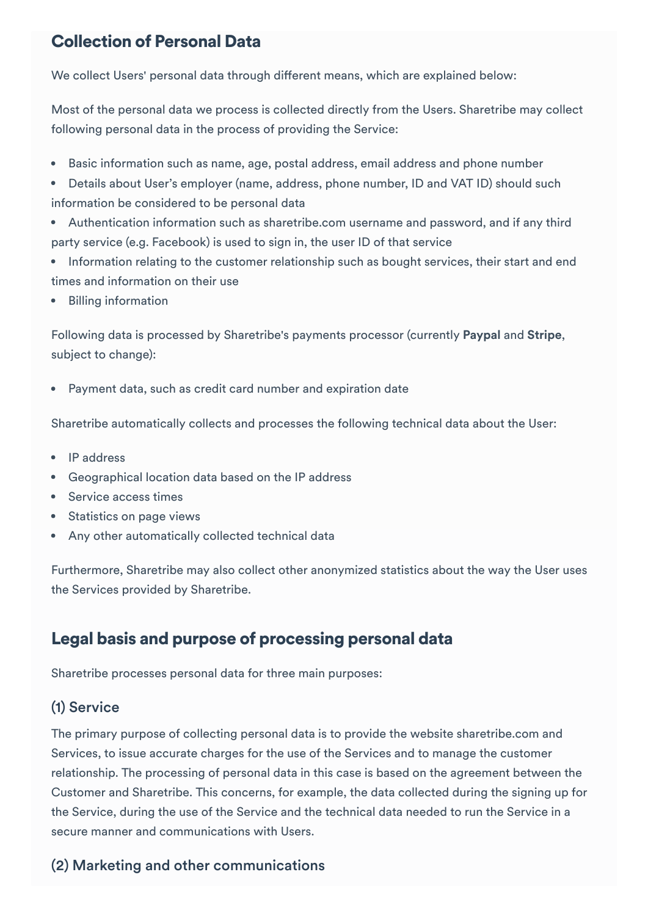## Collection of Personal Data

We collect Users' personal data through different means, which are explained below:

Most of the personal data we process is collected directly from the Users. Sharetribe may collect following personal data in the process of providing the Service:

- Basic information such as name, age, postal address, email address and phone number
- Details about User's employer (name, address, phone number, ID and VAT ID) should such information be considered to be personal data
- Authentication information such as sharetribe.com username and password, and if any third party service (e.g. Facebook) is used to sign in, the user ID of that service
- Information relating to the customer relationship such as bought services, their start and end times and information on their use
- Billing information

Following data is processed by Sharetribe's payments processor (currently Paypal and Stripe, subject to change):

Payment data, such as credit card number and expiration date

Sharetribe automatically collects and processes the following technical data about the User:

- IP address
- Geographical location data based on the IP address
- Service access times  $\bullet$
- Statistics on page views
- Any other automatically collected technical data

Furthermore, Sharetribe may also collect other anonymized statistics about the way the User uses the Services provided by Sharetribe.

# Legal basis and purpose of processing personal data

Sharetribe processes personal data for three main purposes:

## (1) Service

The primary purpose of collecting personal data is to provide the website sharetribe.com and Services, to issue accurate charges for the use of the Services and to manage the customer relationship. The processing of personal data in this case is based on the agreement between the Customer and Sharetribe. This concerns, for example, the data collected during the signing up for the Service, during the use of the Service and the technical data needed to run the Service in a secure manner and communications with Users.

## (2) Marketing and other communications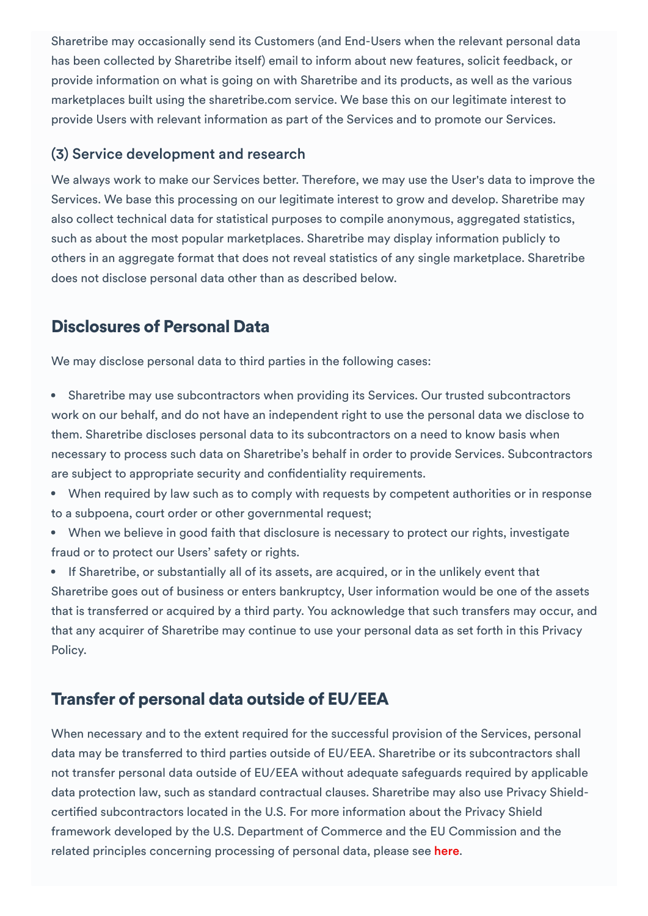Sharetribe may occasionally send its Customers (and End-Users when the relevant personal data has been collected by Sharetribe itself) email to inform about new features, solicit feedback, or provide information on what is going on with Sharetribe and its products, as well as the various marketplaces built using the sharetribe.com service. We base this on our legitimate interest to provide Users with relevant information as part of the Services and to promote our Services.

#### (3) Service development and research

We always work to make our Services better. Therefore, we may use the User's data to improve the Services. We base this processing on our legitimate interest to grow and develop. Sharetribe may also collect technical data for statistical purposes to compile anonymous, aggregated statistics, such as about the most popular marketplaces. Sharetribe may display information publicly to others in an aggregate format that does not reveal statistics of any single marketplace. Sharetribe does not disclose personal data other than as described below.

## Disclosures of Personal Data

We may disclose personal data to third parties in the following cases:

- Sharetribe may use subcontractors when providing its Services. Our trusted subcontractors work on our behalf, and do not have an independent right to use the personal data we disclose to them. Sharetribe discloses personal data to its subcontractors on a need to know basis when necessary to process such data on Sharetribe's behalf in order to provide Services. Subcontractors are subject to appropriate security and confidentiality requirements.
- When required by law such as to comply with requests by competent authorities or in response to a subpoena, court order or other governmental request;
- When we believe in good faith that disclosure is necessary to protect our rights, investigate fraud or to protect our Users' safety or rights.

If Sharetribe, or substantially all of its assets, are acquired, or in the unlikely event that Sharetribe goes out of business or enters bankruptcy, User information would be one of the assets that is transferred or acquired by a third party. You acknowledge that such transfers may occur, and that any acquirer of Sharetribe may continue to use your personal data as set forth in this Privacy Policy.

# Transfer of personal data outside of EU/EEA

When necessary and to the extent required for the successful provision of the Services, personal data may be transferred to third parties outside of EU/EEA. Sharetribe or its subcontractors shall not transfer personal data outside of EU/EEA without adequate safeguards required by applicable data protection law, such as standard contractual clauses. Sharetribe may also use Privacy Shieldcertified subcontractors located in the U.S. For more information about the Privacy Shield framework developed by the U.S. Department of Commerce and the EU Commission and the related principles concerning processing of personal data, please see [here](https://www.privacyshield.gov/welcome).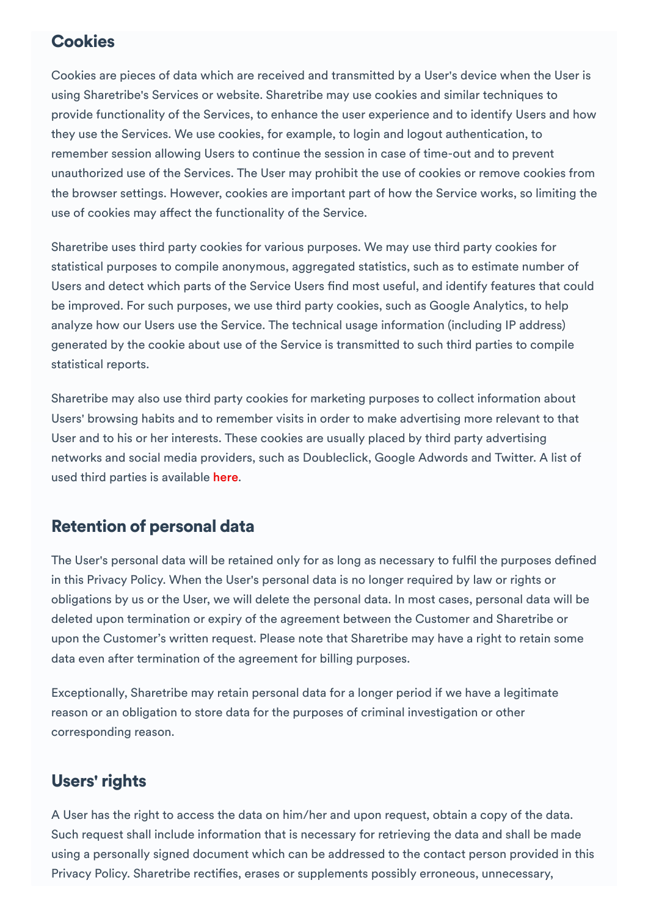## **Cookies**

Cookies are pieces of data which are received and transmitted by a User's device when the User is using Sharetribe's Services or website. Sharetribe may use cookies and similar techniques to provide functionality of the Services, to enhance the user experience and to identify Users and how they use the Services. We use cookies, for example, to login and logout authentication, to remember session allowing Users to continue the session in case of time-out and to prevent unauthorized use of the Services. The User may prohibit the use of cookies or remove cookies from the browser settings. However, cookies are important part of how the Service works, so limiting the use of cookies may affect the functionality of the Service.

Sharetribe uses third party cookies for various purposes. We may use third party cookies for statistical purposes to compile anonymous, aggregated statistics, such as to estimate number of Users and detect which parts of the Service Users find most useful, and identify features that could be improved. For such purposes, we use third party cookies, such as Google Analytics, to help analyze how our Users use the Service. The technical usage information (including IP address) generated by the cookie about use of the Service is transmitted to such third parties to compile statistical reports.

Sharetribe may also use third party cookies for marketing purposes to collect information about Users' browsing habits and to remember visits in order to make advertising more relevant to that User and to his or her interests. These cookies are usually placed by third party advertising networks and social media providers, such as Doubleclick, Google Adwords and Twitter. A list of used third parties is available [here](https://www.sharetribe.com/third-parties/).

## Retention of personal data

The User's personal data will be retained only for as long as necessary to fulfil the purposes defined in this Privacy Policy. When the User's personal data is no longer required by law or rights or obligations by us or the User, we will delete the personal data. In most cases, personal data will be deleted upon termination or expiry of the agreement between the Customer and Sharetribe or upon the Customer's written request. Please note that Sharetribe may have a right to retain some data even after termination of the agreement for billing purposes.

Exceptionally, Sharetribe may retain personal data for a longer period if we have a legitimate reason or an obligation to store data for the purposes of criminal investigation or other corresponding reason.

## Users' rights

A User has the right to access the data on him/her and upon request, obtain a copy of the data. Such request shall include information that is necessary for retrieving the data and shall be made using a personally signed document which can be addressed to the contact person provided in this Privacy Policy. Sharetribe rectifies, erases or supplements possibly erroneous, unnecessary,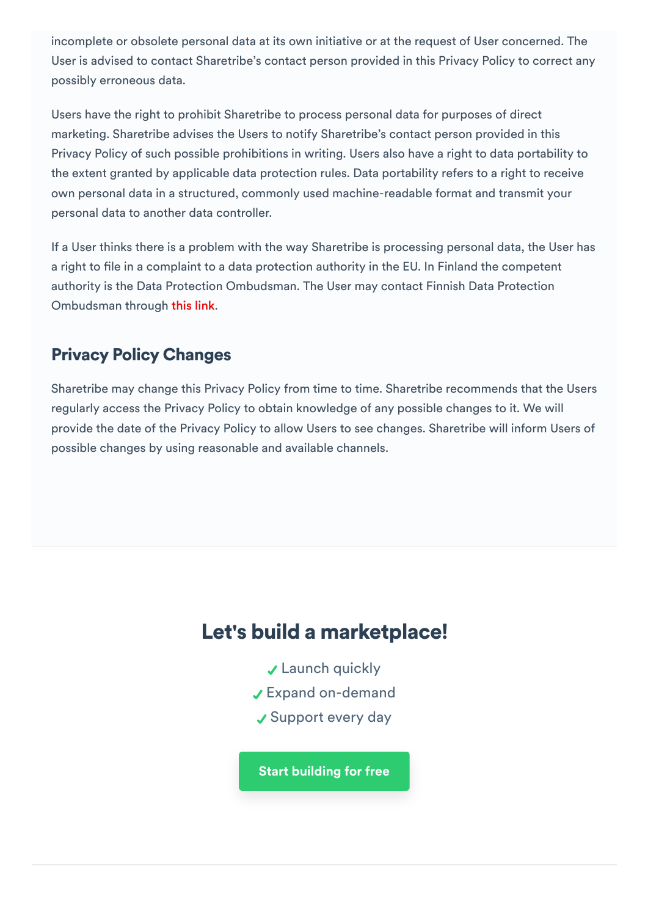incomplete or obsolete personal data at its own initiative or at the request of User concerned. The User is advised to contact Sharetribe's contact person provided in this Privacy Policy to correct any possibly erroneous data.

Users have the right to prohibit Sharetribe to process personal data for purposes of direct marketing. Sharetribe advises the Users to notify Sharetribe's contact person provided in this Privacy Policy of such possible prohibitions in writing. Users also have a right to data portability to the extent granted by applicable data protection rules. Data portability refers to a right to receive own personal data in a structured, commonly used machine-readable format and transmit your personal data to another data controller.

If a User thinks there is a problem with the way Sharetribe is processing personal data, the User has a right to file in a complaint to a data protection authority in the EU. In Finland the competent authority is the Data Protection Ombudsman. The User may contact Finnish Data Protection Ombudsman through this [link](http://www.tietosuoja.fi/).

# Privacy Policy Changes

Sharetribe may change this Privacy Policy from time to time. Sharetribe recommends that the Users regularly access the Privacy Policy to obtain knowledge of any possible changes to it. We will provide the date of the Privacy Policy to allow Users to see changes. Sharetribe will inform Users of possible changes by using reasonable and available channels.

# Let's build a marketplace!

- **↓ Launch quickly**
- Expand on-demand
- ✔ Support every day

Start building for free